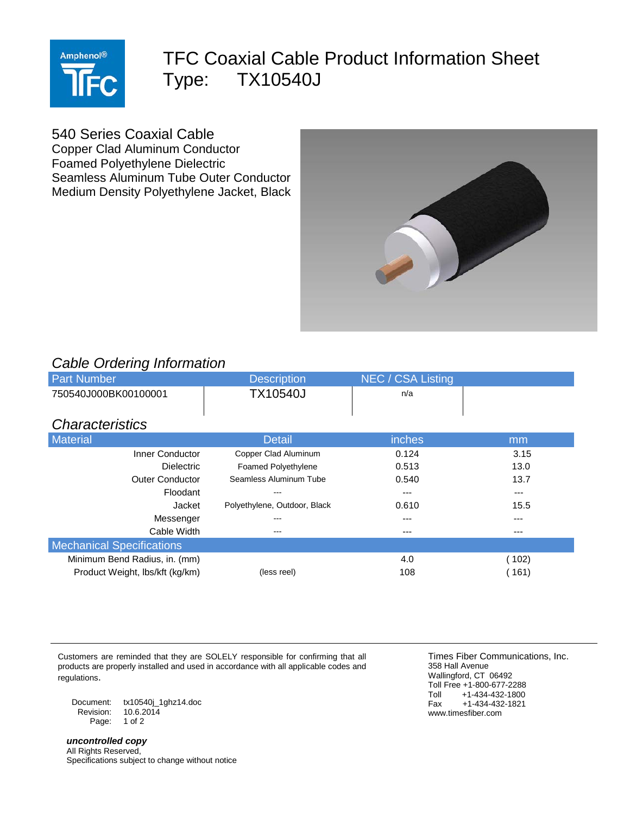

## TFC Coaxial Cable Product Information Sheet Type: TX10540J

540 Series Coaxial Cable

Copper Clad Aluminum Conductor Foamed Polyethylene Dielectric Seamless Aluminum Tube Outer Conductor Medium Density Polyethylene Jacket, Black



## *Cable Ordering Information*

| <b>Capito Crucinity information</b> |                   |               |  |  |  |  |
|-------------------------------------|-------------------|---------------|--|--|--|--|
| <b>Description</b>                  | NEC / CSA Listing |               |  |  |  |  |
| <b>TX10540J</b>                     | n/a               |               |  |  |  |  |
|                                     |                   |               |  |  |  |  |
| <b>Detail</b>                       | inches            | <sub>mm</sub> |  |  |  |  |
| Copper Clad Aluminum                | 0.124             | 3.15          |  |  |  |  |
| Foamed Polyethylene                 | 0.513             | 13.0          |  |  |  |  |
| Seamless Aluminum Tube              | 0.540             | 13.7          |  |  |  |  |
| ---                                 |                   | ---           |  |  |  |  |
| Polyethylene, Outdoor, Black        | 0.610             | 15.5          |  |  |  |  |
| ---                                 |                   |               |  |  |  |  |
| ---                                 |                   | ---           |  |  |  |  |
|                                     |                   |               |  |  |  |  |
|                                     | 4.0               | (102)         |  |  |  |  |
| (less reel)                         | 108               | (161)         |  |  |  |  |
| Jacket                              |                   |               |  |  |  |  |

Customers are reminded that they are SOLELY responsible for confirming that all products are properly installed and used in accordance with all applicable codes and regulations.

Document: tx10540j\_1ghz14.doc  $10.6.2014$ Page: 1 of 2

*uncontrolled copy* All Rights Reserved, Specifications subject to change without notice

Times Fiber Communications, Inc. 358 Hall Avenue Wallingford, CT 06492 Toll Free +1-800-677-2288<br>Toll +1-434-432-1800 Toll +1-434-432-1800<br>Fax +1-434-432-1821  $+1-434-432-1821$ www.timesfiber.com